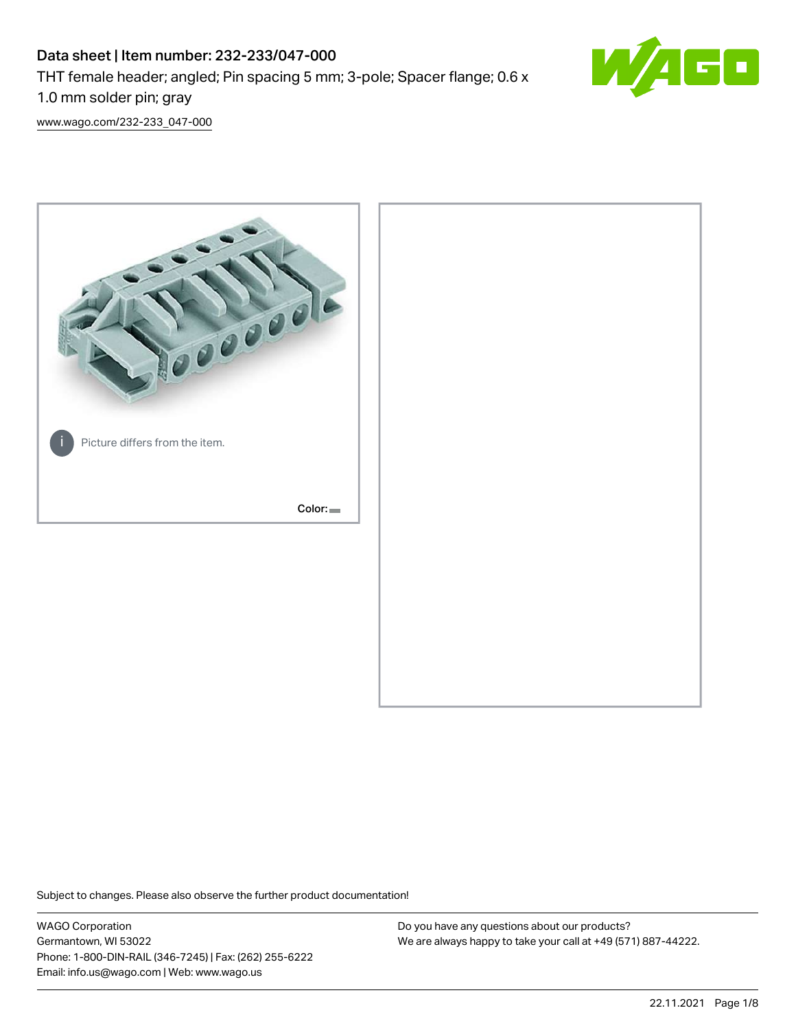# Data sheet | Item number: 232-233/047-000 THT female header; angled; Pin spacing 5 mm; 3-pole; Spacer flange; 0.6 x 1.0 mm solder pin; gray



[www.wago.com/232-233\\_047-000](http://www.wago.com/232-233_047-000)



Subject to changes. Please also observe the further product documentation!

WAGO Corporation Germantown, WI 53022 Phone: 1-800-DIN-RAIL (346-7245) | Fax: (262) 255-6222 Email: info.us@wago.com | Web: www.wago.us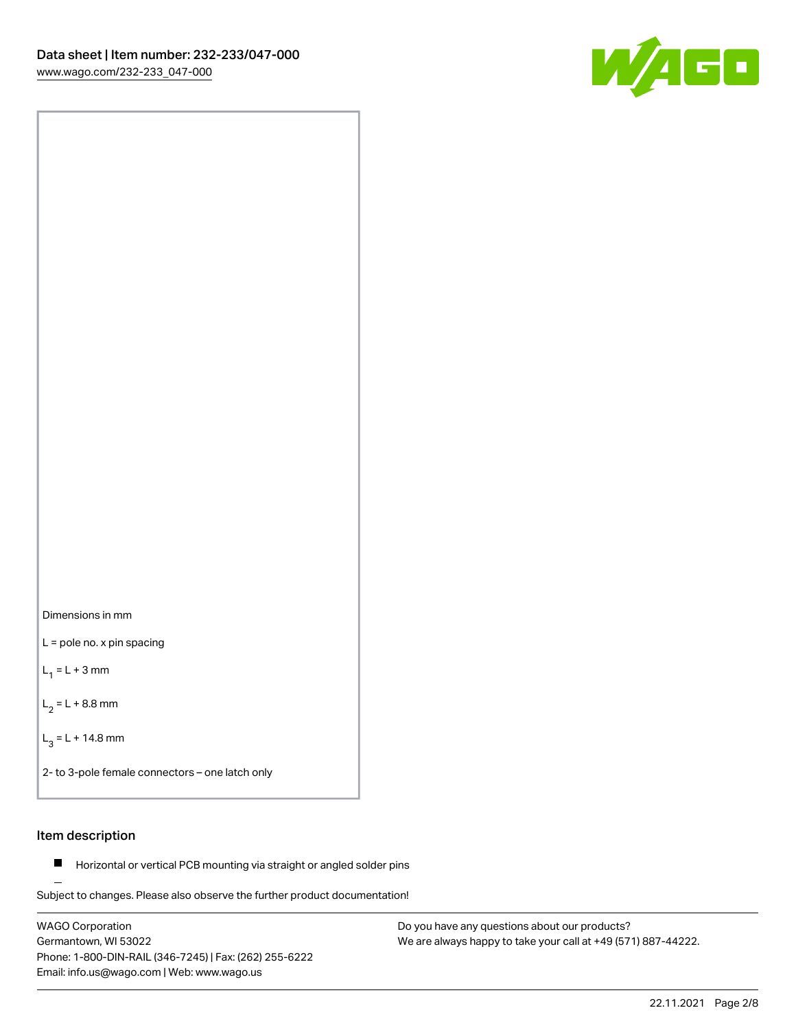

Dimensions in mm

L = pole no. x pin spacing

 $L_1 = L + 3$  mm

 $L_2 = L + 8.8$  mm

 $L_3 = L + 14.8$  mm

2- to 3-pole female connectors – one latch only

# Item description

**Horizontal or vertical PCB mounting via straight or angled solder pins** 

Subject to changes. Please also observe the further product documentation! For board-to-board and board-to-wire connections

WAGO Corporation Germantown, WI 53022 Phone: 1-800-DIN-RAIL (346-7245) | Fax: (262) 255-6222 Email: info.us@wago.com | Web: www.wago.us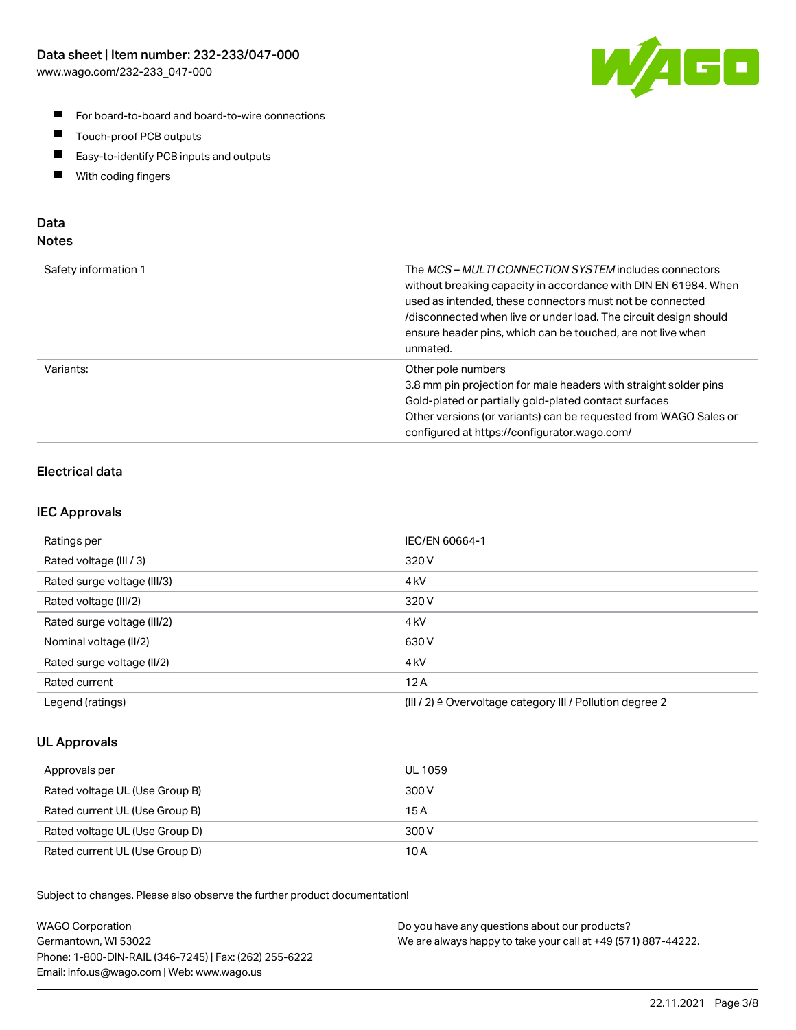

- For board-to-board and board-to-wire connections
- $\blacksquare$ Touch-proof PCB outputs
- $\blacksquare$ Easy-to-identify PCB inputs and outputs
- $\blacksquare$ With coding fingers

# Data **Notes**

| Safety information 1 | The <i>MCS – MULTI CONNECTION SYSTEM</i> includes connectors<br>without breaking capacity in accordance with DIN EN 61984. When<br>used as intended, these connectors must not be connected<br>/disconnected when live or under load. The circuit design should<br>ensure header pins, which can be touched, are not live when<br>unmated. |
|----------------------|--------------------------------------------------------------------------------------------------------------------------------------------------------------------------------------------------------------------------------------------------------------------------------------------------------------------------------------------|
| Variants:            | Other pole numbers<br>3.8 mm pin projection for male headers with straight solder pins<br>Gold-plated or partially gold-plated contact surfaces<br>Other versions (or variants) can be requested from WAGO Sales or<br>configured at https://configurator.wago.com/                                                                        |

# Electrical data

# IEC Approvals

| Ratings per                 | IEC/EN 60664-1                                                        |
|-----------------------------|-----------------------------------------------------------------------|
| Rated voltage (III / 3)     | 320 V                                                                 |
| Rated surge voltage (III/3) | 4 <sub>k</sub> V                                                      |
| Rated voltage (III/2)       | 320 V                                                                 |
| Rated surge voltage (III/2) | 4 <sub>k</sub> V                                                      |
| Nominal voltage (II/2)      | 630 V                                                                 |
| Rated surge voltage (II/2)  | 4 <sub>kV</sub>                                                       |
| Rated current               | 12A                                                                   |
| Legend (ratings)            | $(III / 2)$ $\triangle$ Overvoltage category III / Pollution degree 2 |

# UL Approvals

| Approvals per                  | UL 1059 |
|--------------------------------|---------|
| Rated voltage UL (Use Group B) | 300 V   |
| Rated current UL (Use Group B) | 15 A    |
| Rated voltage UL (Use Group D) | 300 V   |
| Rated current UL (Use Group D) | 10 A    |

Subject to changes. Please also observe the further product documentation!

| <b>WAGO Corporation</b>                                | Do you have any questions about our products?                 |
|--------------------------------------------------------|---------------------------------------------------------------|
| Germantown, WI 53022                                   | We are always happy to take your call at +49 (571) 887-44222. |
| Phone: 1-800-DIN-RAIL (346-7245)   Fax: (262) 255-6222 |                                                               |
| Email: info.us@wago.com   Web: www.wago.us             |                                                               |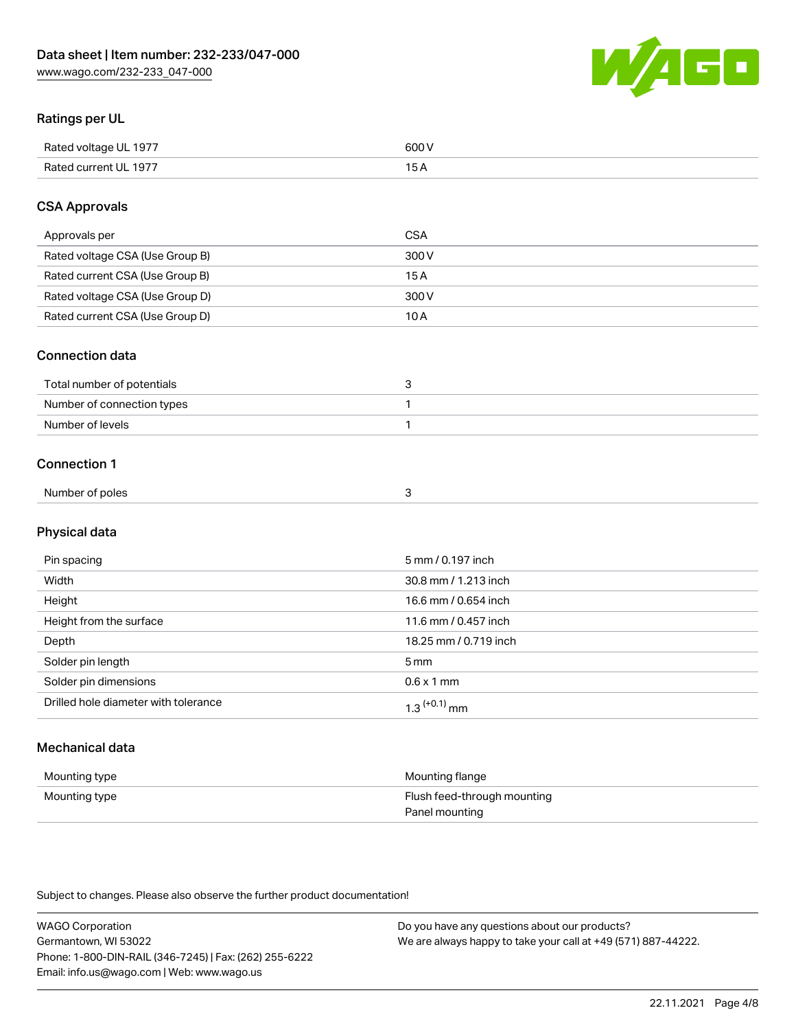

# Ratings per UL

| Rated voltage UL 1977 | soo v<br>วบบ<br>. |
|-----------------------|-------------------|
| Rated current UL 1977 | --                |
|                       | . J <i>r</i>      |

# CSA Approvals

| Approvals per                   | CSA   |
|---------------------------------|-------|
| Rated voltage CSA (Use Group B) | 300 V |
| Rated current CSA (Use Group B) | 15 A  |
| Rated voltage CSA (Use Group D) | 300 V |
| Rated current CSA (Use Group D) | 10 A  |

#### Connection data

| Total number of potentials |  |
|----------------------------|--|
| Number of connection types |  |
| Number of levels           |  |

#### Connection 1

| Number of poles |  |
|-----------------|--|
|                 |  |

# Physical data

| Pin spacing                          | 5 mm / 0.197 inch     |
|--------------------------------------|-----------------------|
| Width                                | 30.8 mm / 1.213 inch  |
| Height                               | 16.6 mm / 0.654 inch  |
| Height from the surface              | 11.6 mm / 0.457 inch  |
| Depth                                | 18.25 mm / 0.719 inch |
| Solder pin length                    | 5 <sub>mm</sub>       |
| Solder pin dimensions                | $0.6 \times 1$ mm     |
| Drilled hole diameter with tolerance | $1.3$ $(+0.1)$ mm     |

# Mechanical data

| Mounting type | Mounting flange             |
|---------------|-----------------------------|
| Mounting type | Flush feed-through mounting |
|               | Panel mounting              |

Subject to changes. Please also observe the further product documentation!

| <b>WAGO Corporation</b>                                | Do you have any questions about our products?                 |
|--------------------------------------------------------|---------------------------------------------------------------|
| Germantown, WI 53022                                   | We are always happy to take your call at +49 (571) 887-44222. |
| Phone: 1-800-DIN-RAIL (346-7245)   Fax: (262) 255-6222 |                                                               |
| Email: info.us@wago.com   Web: www.wago.us             |                                                               |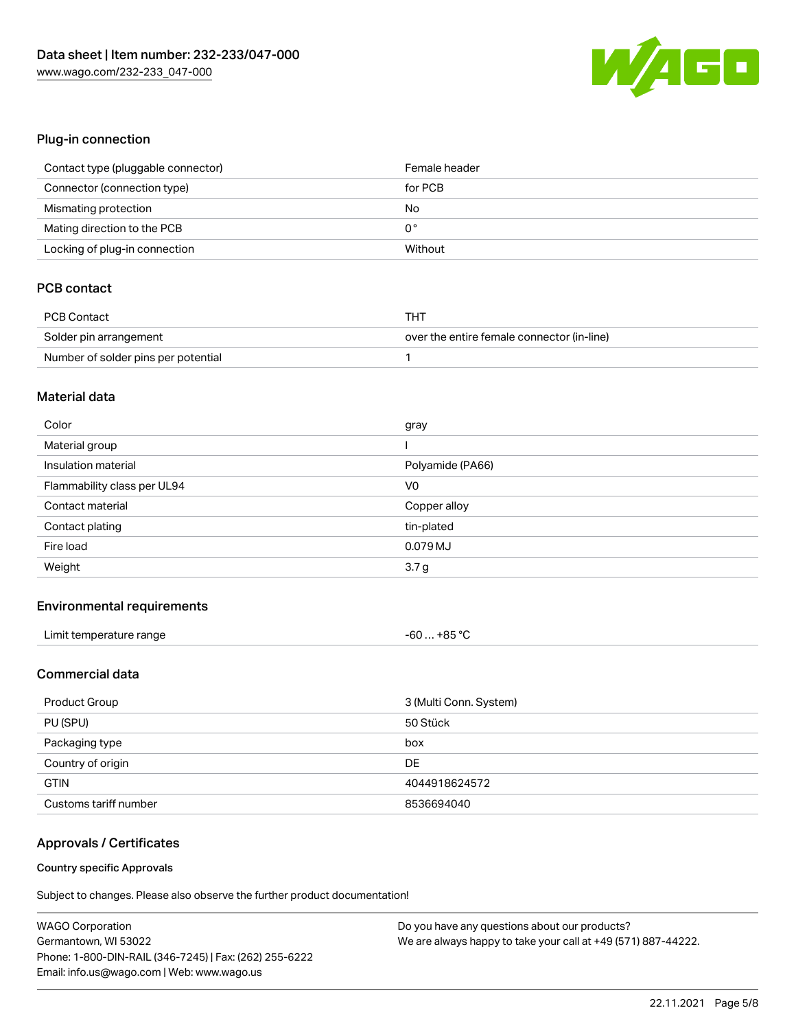

# Plug-in connection

| Contact type (pluggable connector) | Female header |
|------------------------------------|---------------|
| Connector (connection type)        | for PCB       |
| Mismating protection               | No            |
| Mating direction to the PCB        | 0°            |
| Locking of plug-in connection      | Without       |

# PCB contact

| <b>PCB Contact</b>                  | THT                                        |
|-------------------------------------|--------------------------------------------|
| Solder pin arrangement              | over the entire female connector (in-line) |
| Number of solder pins per potential |                                            |

#### Material data

| Color                       | gray             |
|-----------------------------|------------------|
| Material group              |                  |
| Insulation material         | Polyamide (PA66) |
| Flammability class per UL94 | V <sub>0</sub>   |
| Contact material            | Copper alloy     |
|                             |                  |
| Contact plating             | tin-plated       |
| Fire load                   | 0.079 MJ         |

#### Environmental requirements

| Limit temperature range | $-60+85 °C$ |
|-------------------------|-------------|
|-------------------------|-------------|

# Commercial data

| Product Group         | 3 (Multi Conn. System) |
|-----------------------|------------------------|
| PU (SPU)              | 50 Stück               |
| Packaging type        | box                    |
| Country of origin     | DE                     |
| <b>GTIN</b>           | 4044918624572          |
| Customs tariff number | 8536694040             |

#### Approvals / Certificates

#### Country specific Approvals

Subject to changes. Please also observe the further product documentation!

| <b>WAGO Corporation</b>                                | Do you have any questions about our products?                 |
|--------------------------------------------------------|---------------------------------------------------------------|
| Germantown, WI 53022                                   | We are always happy to take your call at +49 (571) 887-44222. |
| Phone: 1-800-DIN-RAIL (346-7245)   Fax: (262) 255-6222 |                                                               |
| Email: info.us@wago.com   Web: www.wago.us             |                                                               |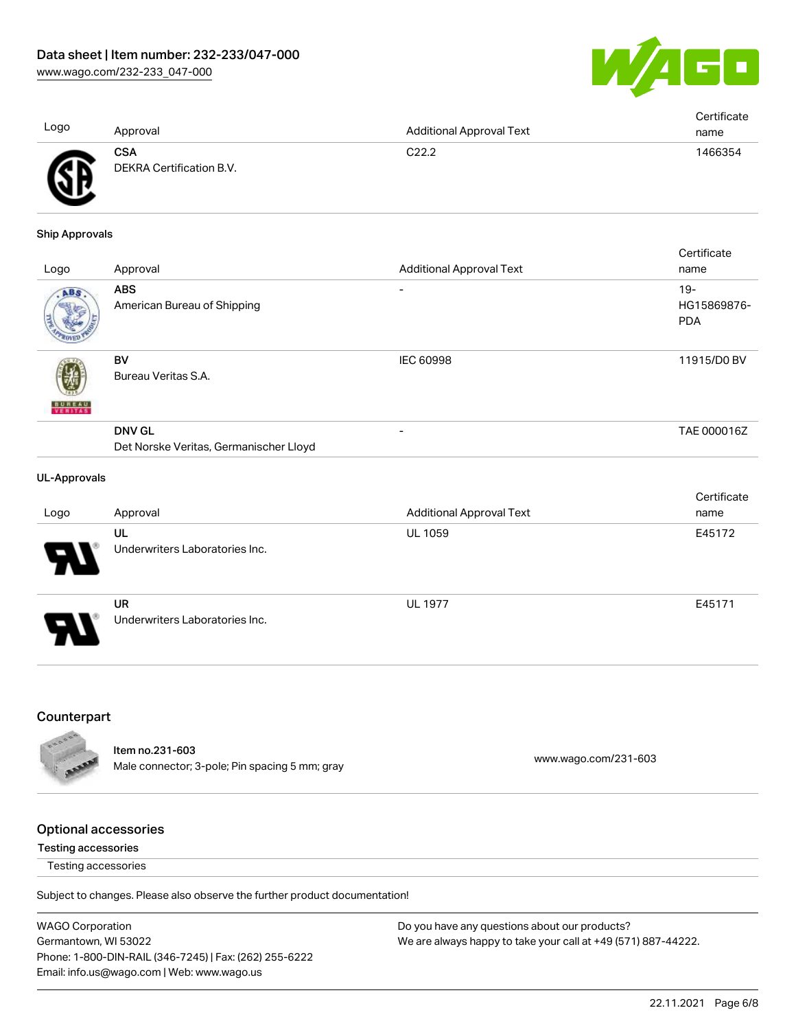

| Logo | Approval                        | <b>Additional Approval Text</b> | Certificate<br>name |
|------|---------------------------------|---------------------------------|---------------------|
| A    | CSA<br>DEKRA Certification B.V. | C22.2                           | 1466354             |

#### Ship Approvals

ЧV

| Logo                     | Approval                                                | <b>Additional Approval Text</b> | Certificate<br>name                 |
|--------------------------|---------------------------------------------------------|---------------------------------|-------------------------------------|
| ABS                      | <b>ABS</b><br>American Bureau of Shipping               |                                 | $19 -$<br>HG15869876-<br><b>PDA</b> |
| <b>BUREAU</b><br>VERITAS | BV<br>Bureau Veritas S.A.                               | <b>IEC 60998</b>                | 11915/D0 BV                         |
|                          | <b>DNV GL</b><br>Det Norske Veritas, Germanischer Lloyd |                                 | TAE 000016Z                         |
|                          |                                                         |                                 |                                     |

#### UL-Approvals

| Logo | Approval                                    | <b>Additional Approval Text</b> | Certificate<br>name |
|------|---------------------------------------------|---------------------------------|---------------------|
| Ъ.   | UL<br>Underwriters Laboratories Inc.        | <b>UL 1059</b>                  | E45172              |
| 8    | <b>UR</b><br>Underwriters Laboratories Inc. | <b>UL 1977</b>                  | E45171              |

#### **Counterpart**



Item no.231-603 nech no.<br>
Male connector; 3-pole; Pin spacing 5 mm; gray [www.wago.com/231-603](https://www.wago.com/231-603)

#### Optional accessories

#### Testing accessories

Testing accessories

Subject to changes. Please also observe the further product documentation!

WAGO Corporation Germantown, WI 53022 Phone: 1-800-DIN-RAIL (346-7245) | Fax: (262) 255-6222 Email: info.us@wago.com | Web: www.wago.us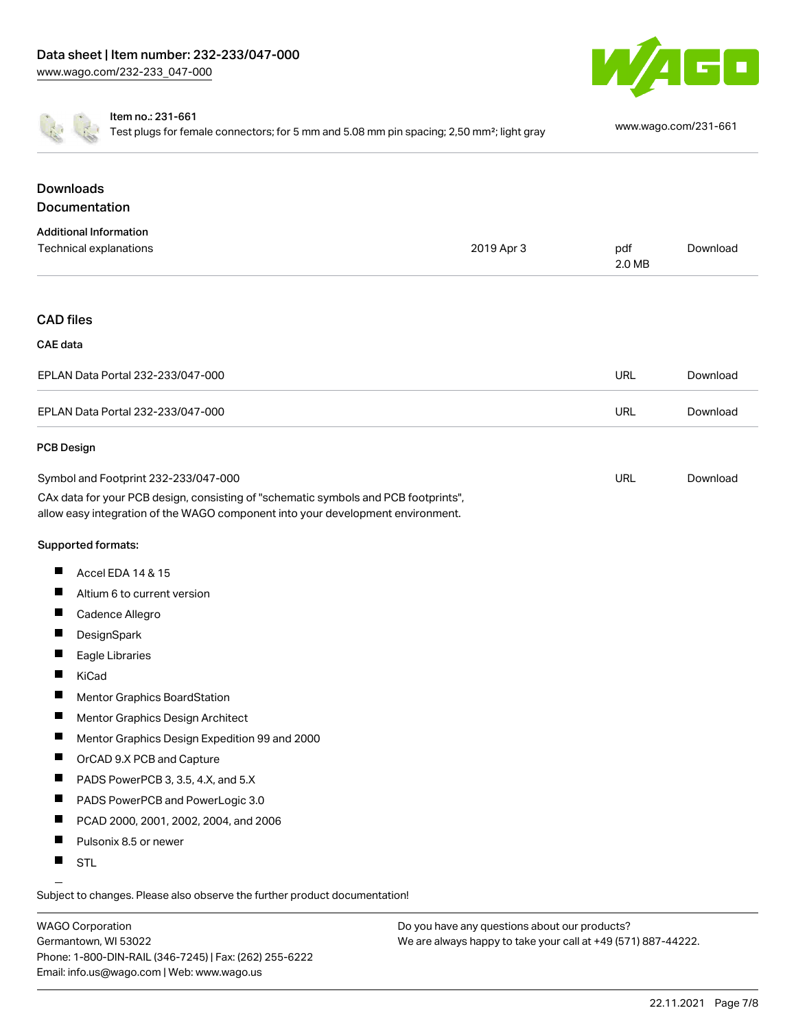



Item no.: 231-661

Test plugs for female connectors; for 5 mm and 5.08 mm pin spacing; 2,50 mm²; light gray [www.wago.com/231-661](http://www.wago.com/231-661)

# **Downloads Documentation**

| <b>Additional Information</b>                                                                                                                                          |            |               |          |
|------------------------------------------------------------------------------------------------------------------------------------------------------------------------|------------|---------------|----------|
| Technical explanations                                                                                                                                                 | 2019 Apr 3 | pdf<br>2.0 MB | Download |
|                                                                                                                                                                        |            |               |          |
| <b>CAD files</b>                                                                                                                                                       |            |               |          |
| CAE data                                                                                                                                                               |            |               |          |
| EPLAN Data Portal 232-233/047-000                                                                                                                                      |            | <b>URL</b>    | Download |
| EPLAN Data Portal 232-233/047-000                                                                                                                                      |            | <b>URL</b>    | Download |
| <b>PCB Design</b>                                                                                                                                                      |            |               |          |
| Symbol and Footprint 232-233/047-000                                                                                                                                   |            | <b>URL</b>    | Download |
| CAx data for your PCB design, consisting of "schematic symbols and PCB footprints",<br>allow easy integration of the WAGO component into your development environment. |            |               |          |

#### Supported formats:

- $\blacksquare$ Accel EDA 14 & 15
- $\blacksquare$ Altium 6 to current version
- $\blacksquare$ Cadence Allegro
- $\blacksquare$ **DesignSpark**
- $\blacksquare$ Eagle Libraries
- $\blacksquare$ KiCad
- $\blacksquare$ Mentor Graphics BoardStation
- $\blacksquare$ Mentor Graphics Design Architect
- $\blacksquare$ Mentor Graphics Design Expedition 99 and 2000
- OrCAD 9.X PCB and Capture П
- П PADS PowerPCB 3, 3.5, 4.X, and 5.X
- $\blacksquare$ PADS PowerPCB and PowerLogic 3.0
- $\blacksquare$ PCAD 2000, 2001, 2002, 2004, and 2006
- $\blacksquare$ Pulsonix 8.5 or newer
- $\blacksquare$ STL

Subject to changes. Please also observe the further product documentation!

WAGO Corporation Germantown, WI 53022 Phone: 1-800-DIN-RAIL (346-7245) | Fax: (262) 255-6222 Email: info.us@wago.com | Web: www.wago.us